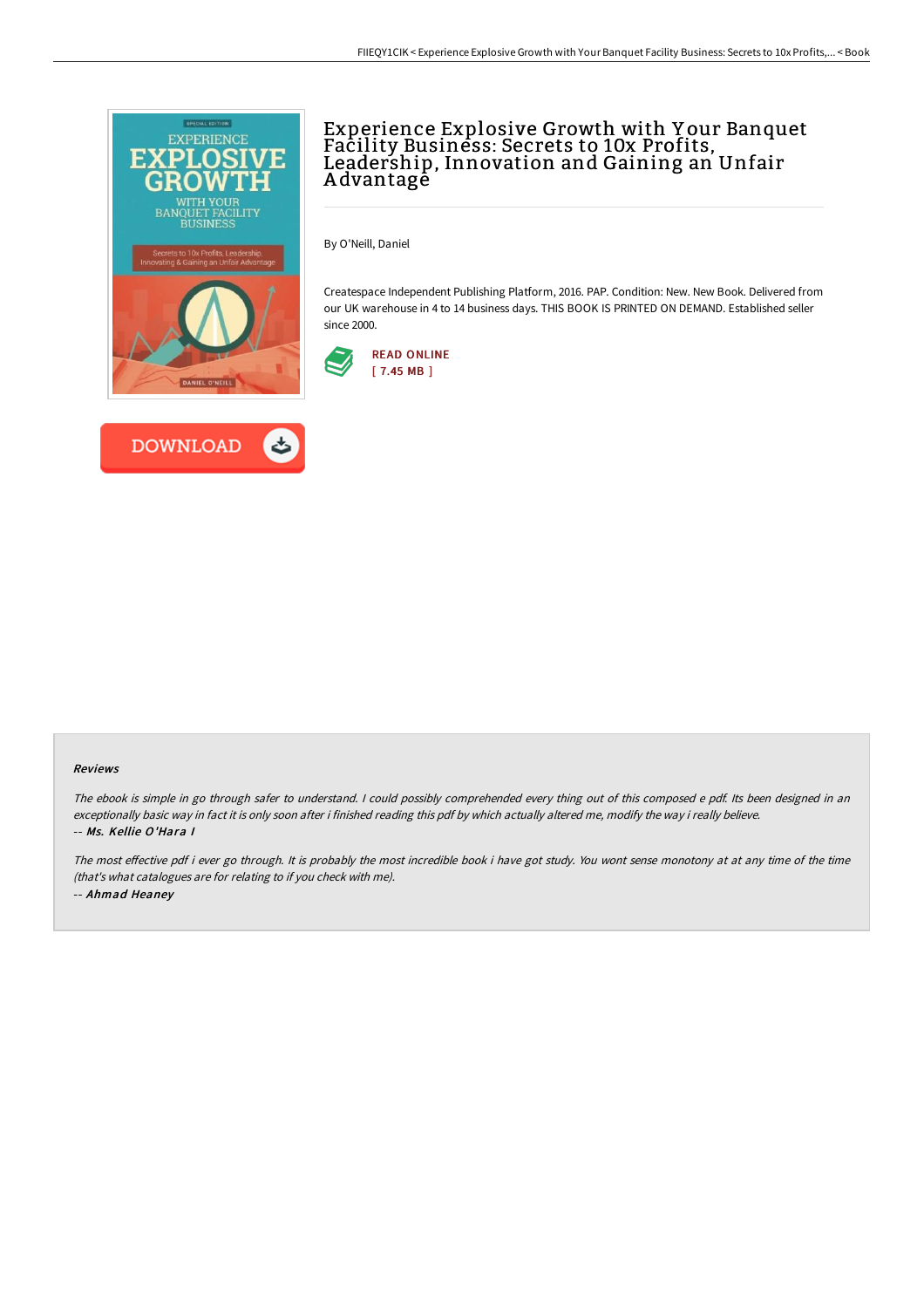



# Experience Explosive Growth with Y our Banquet Facility Business: Secrets to 10x Profits, Leadership, Innovation and Gaining an Unfair A dvantage

By O'Neill, Daniel

Createspace Independent Publishing Platform, 2016. PAP. Condition: New. New Book. Delivered from our UK warehouse in 4 to 14 business days. THIS BOOK IS PRINTED ON DEMAND. Established seller since 2000.



#### Reviews

The ebook is simple in go through safer to understand. <sup>I</sup> could possibly comprehended every thing out of this composed <sup>e</sup> pdf. Its been designed in an exceptionally basic way in fact it is only soon after i finished reading this pdf by which actually altered me, modify the way i really believe. -- Ms. Kellie O'Hara I

The most effective pdf i ever go through. It is probably the most incredible book i have got study. You wont sense monotony at at any time of the time (that's what catalogues are for relating to if you check with me). -- Ahmad Heaney